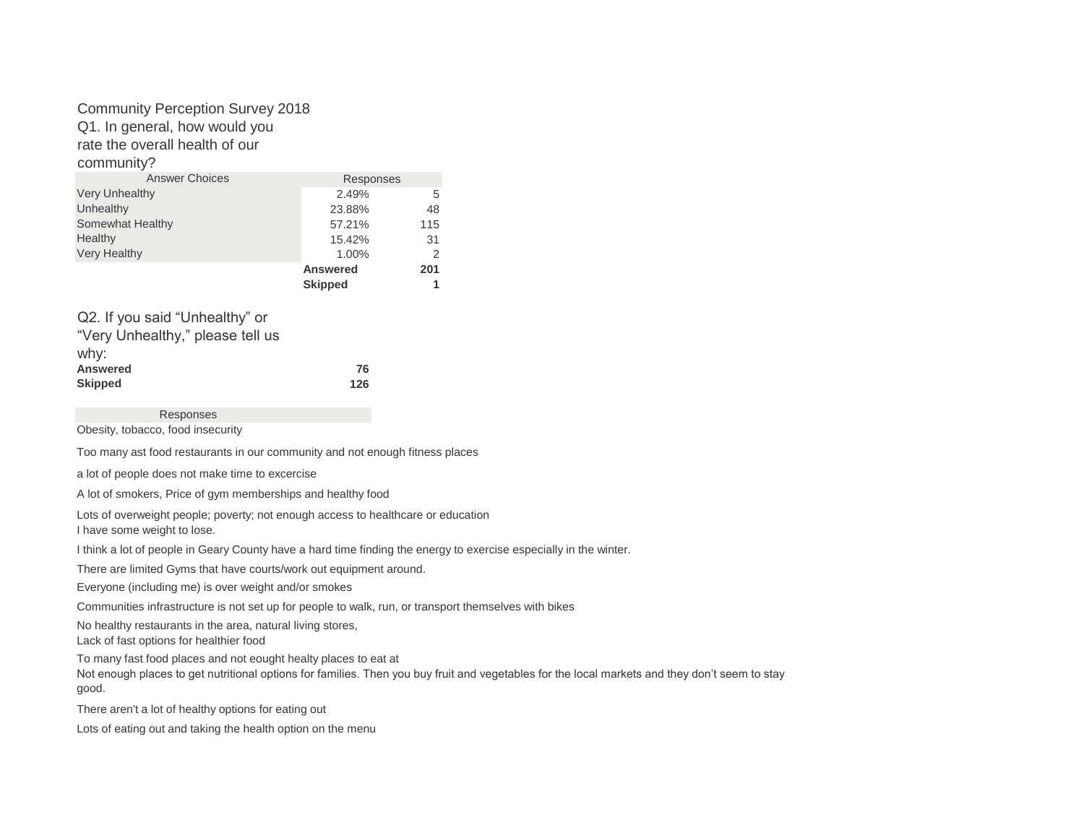### Community Perception Survey 2018

Q1. In general, how would you

rate the overall health of our

community?

| <b>Answer Choices</b>                | Responses       |     |
|--------------------------------------|-----------------|-----|
| <b>Very Unhealthy</b>                | 2.49%           | 5   |
| Unhealthy                            | 23.88%          | 48  |
| Somewhat Healthy                     | 57.21%          | 115 |
| Healthy                              | 15.42%          | 31  |
| <b>Very Healthy</b>                  | 1.00%           | 2   |
|                                      | <b>Answered</b> | 201 |
|                                      | <b>Skipped</b>  |     |
|                                      |                 |     |
| $\bigcap$ If you coid "Uphoolthy" or |                 |     |

| WZ. II you salu Ullillicallity Of |     |
|-----------------------------------|-----|
| "Very Unhealthy," please tell us  |     |
| why:                              |     |
| <b>Answered</b>                   | 76  |
| <b>Skipped</b>                    | 126 |

Responses

Obesity, tobacco, food insecurity

Too many ast food restaurants in our community and not enough fitness places

a lot of people does not make time to excercise

A lot of smokers, Price of gym memberships and healthy food

Lots of overweight people; poverty; not enough access to healthcare or education I have some weight to lose.

I think a lot of people in Geary County have a hard time finding the energy to exercise especially in the winter.

There are limited Gyms that have courts/work out equipment around.

Everyone (including me) is over weight and/or smokes

Communities infrastructure is not set up for people to walk, run, or transport themselves with bikes

No healthy restaurants in the area, natural living stores,

Lack of fast options for healthier food

To many fast food places and not eought healty places to eat at

Not enough places to get nutritional options for families. Then you buy fruit and vegetables for the local markets and they don't seem to stay good.

There aren't a lot of healthy options for eating out

Lots of eating out and taking the health option on the menu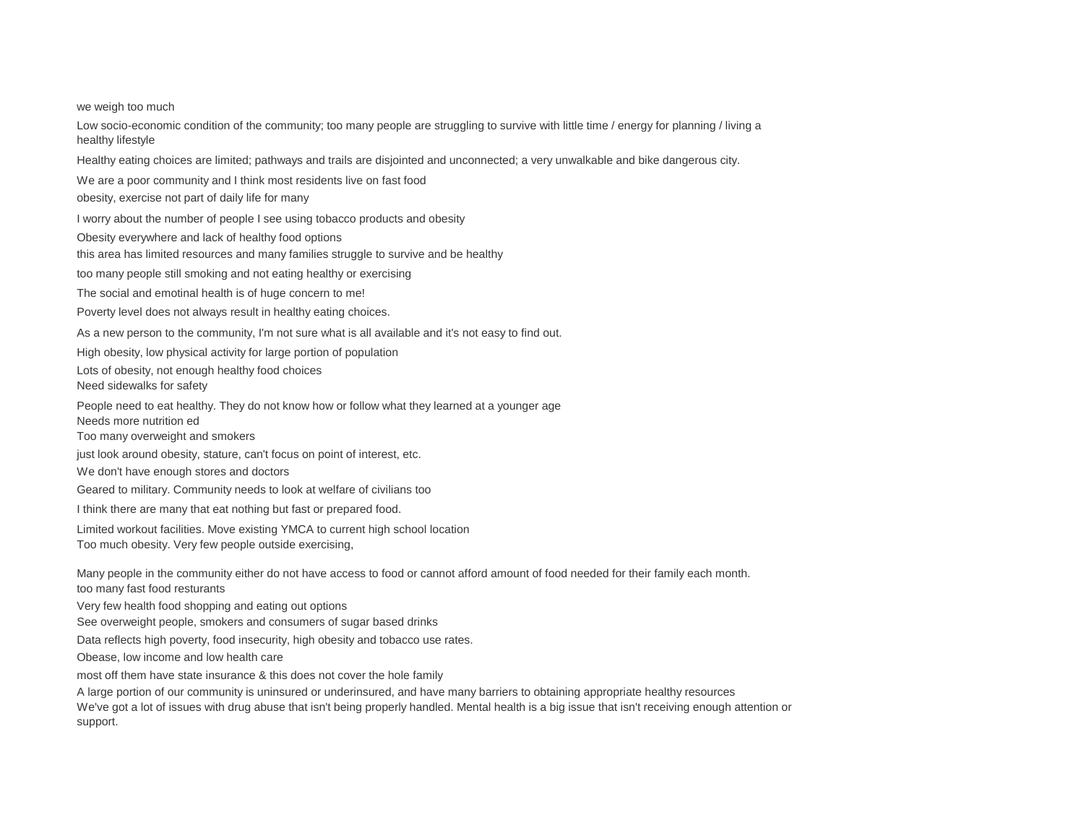we weigh too much

Low socio-economic condition of the community; too many people are struggling to survive with little time / energy for planning / living a healthy lifestyle

Healthy eating choices are limited; pathways and trails are disjointed and unconnected; a very unwalkable and bike dangerous city.

We are a poor community and I think most residents live on fast food

obesity, exercise not part of daily life for many

I worry about the number of people I see using tobacco products and obesity

Obesity everywhere and lack of healthy food options

this area has limited resources and many families struggle to survive and be healthy

too many people still smoking and not eating healthy or exercising

The social and emotinal health is of huge concern to me!

Poverty level does not always result in healthy eating choices.

As a new person to the community, I'm not sure what is all available and it's not easy to find out.

High obesity, low physical activity for large portion of population

Lots of obesity, not enough healthy food choices

Need sidewalks for safety

People need to eat healthy. They do not know how or follow what they learned at a younger age

Needs more nutrition ed

Too many overweight and smokers

just look around obesity, stature, can't focus on point of interest, etc.

We don't have enough stores and doctors

Geared to military. Community needs to look at welfare of civilians too

I think there are many that eat nothing but fast or prepared food.

Limited workout facilities. Move existing YMCA to current high school location

Too much obesity. Very few people outside exercising,

Many people in the community either do not have access to food or cannot afford amount of food needed for their family each month. too many fast food resturants

Very few health food shopping and eating out options

See overweight people, smokers and consumers of sugar based drinks

Data reflects high poverty, food insecurity, high obesity and tobacco use rates.

Obease, low income and low health care

most off them have state insurance & this does not cover the hole family

A large portion of our community is uninsured or underinsured, and have many barriers to obtaining appropriate healthy resources

We've got a lot of issues with drug abuse that isn't being properly handled. Mental health is a big issue that isn't receiving enough attention or support.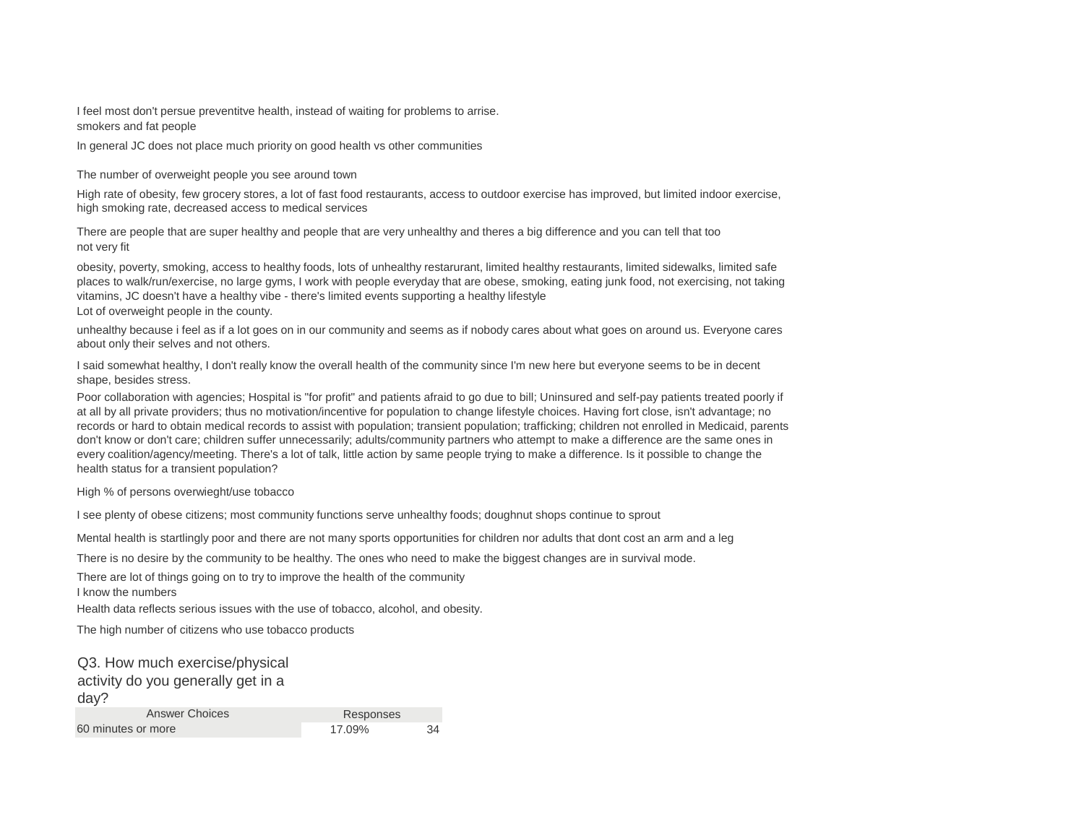I feel most don't persue preventitve health, instead of waiting for problems to arrise. smokers and fat people

In general JC does not place much priority on good health vs other communities

The number of overweight people you see around town

High rate of obesity, few grocery stores, a lot of fast food restaurants, access to outdoor exercise has improved, but limited indoor exercise, high smoking rate, decreased access to medical services

There are people that are super healthy and people that are very unhealthy and theres a big difference and you can tell that too not very fit

obesity, poverty, smoking, access to healthy foods, lots of unhealthy restarurant, limited healthy restaurants, limited sidewalks, limited safe places to walk/run/exercise, no large gyms, I work with people everyday that are obese, smoking, eating junk food, not exercising, not taking vitamins, JC doesn't have a healthy vibe - there's limited events supporting a healthy lifestyle

Lot of overweight people in the county.

unhealthy because i feel as if a lot goes on in our community and seems as if nobody cares about what goes on around us. Everyone cares about only their selves and not others.

I said somewhat healthy, I don't really know the overall health of the community since I'm new here but everyone seems to be in decent shape, besides stress.

Poor collaboration with agencies; Hospital is "for profit" and patients afraid to go due to bill; Uninsured and self-pay patients treated poorly if at all by all private providers; thus no motivation/incentive for population to change lifestyle choices. Having fort close, isn't advantage; no records or hard to obtain medical records to assist with population; transient population; trafficking; children not enrolled in Medicaid, parents don't know or don't care; children suffer unnecessarily; adults/community partners who attempt to make a difference are the same ones in every coalition/agency/meeting. There's a lot of talk, little action by same people trying to make a difference. Is it possible to change the health status for a transient population?

High % of persons overwieght/use tobacco

I see plenty of obese citizens; most community functions serve unhealthy foods; doughnut shops continue to sprout

Mental health is startlingly poor and there are not many sports opportunities for children nor adults that dont cost an arm and a leg

There is no desire by the community to be healthy. The ones who need to make the biggest changes are in survival mode.

There are lot of things going on to try to improve the health of the community

I know the numbers

Health data reflects serious issues with the use of tobacco, alcohol, and obesity.

The high number of citizens who use tobacco products

Q3. How much exercise/physical activity do you generally get in a day? Answer Choices 60 minutes or more 17.09% 34 Responses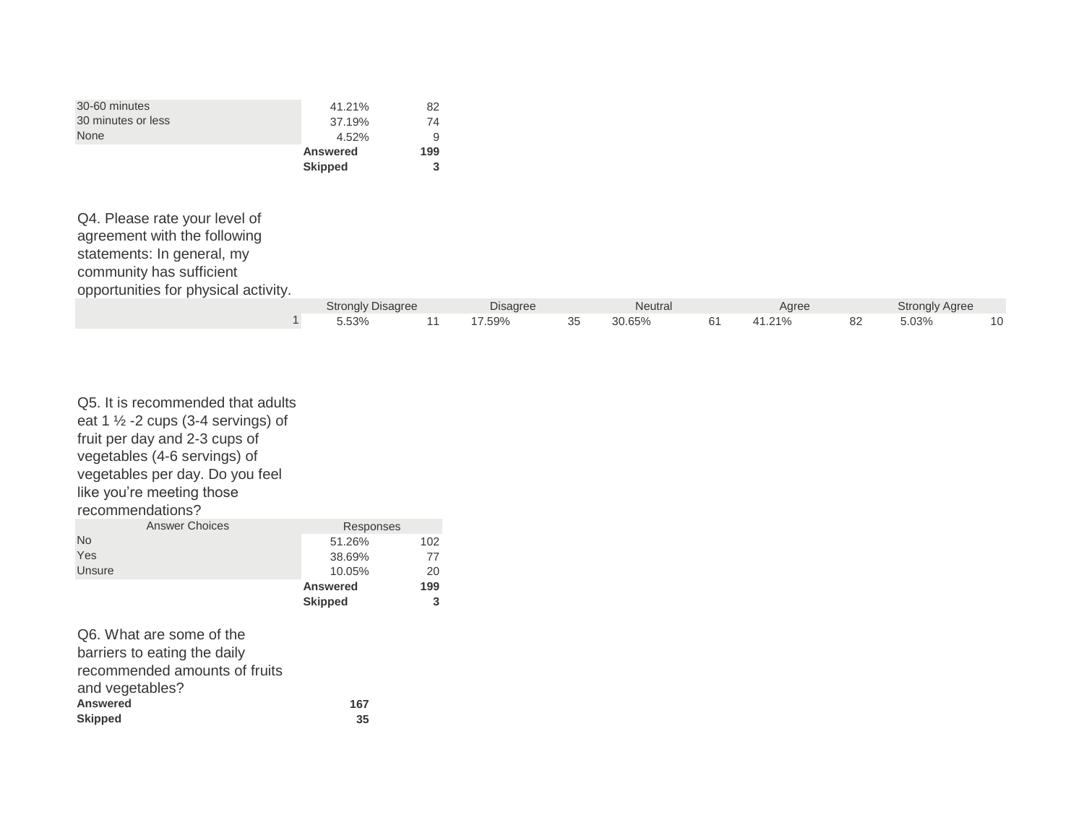| 30-60 minutes      | 41.21%          | 82  |
|--------------------|-----------------|-----|
| 30 minutes or less | 37.19%          | 74  |
| <b>None</b>        | 4.52%           | 9   |
|                    | <b>Answered</b> | 199 |
|                    | <b>Skipped</b>  | 3   |

Q4. Please rate your level of agreement with the following statements: In general, my community has sufficient opportunities for physical activity.

|  | <b>Strongly Disagree</b> |  | <b>Disagree</b><br><b>Neutral</b> |    |        | Agree |                             |               | <b>Strongly Agree</b><br>ັ |    |
|--|--------------------------|--|-----------------------------------|----|--------|-------|-----------------------------|---------------|----------------------------|----|
|  | 5.53%                    |  | 7.59%                             | ບບ | 30.65% |       | 240<br><b>.</b><br>·I.∠I /0 | $\circ$<br>○∠ | 5.03%                      | н. |

| Q5. It is recommended that adults<br>eat 1 $\frac{1}{2}$ -2 cups (3-4 servings) of               |                 |     |
|--------------------------------------------------------------------------------------------------|-----------------|-----|
| fruit per day and 2-3 cups of<br>vegetables (4-6 servings) of<br>vegetables per day. Do you feel |                 |     |
| like you're meeting those                                                                        |                 |     |
| recommendations?                                                                                 |                 |     |
| <b>Answer Choices</b>                                                                            | Responses       |     |
| <b>No</b>                                                                                        | 51.26%          | 102 |
| Yes                                                                                              | 38.69%          | 77  |
| Unsure                                                                                           | 10.05%          | 20  |
|                                                                                                  | <b>Answered</b> | 199 |
|                                                                                                  | <b>Skipped</b>  | 3   |
|                                                                                                  |                 |     |

| 167 |
|-----|
| 35  |
|     |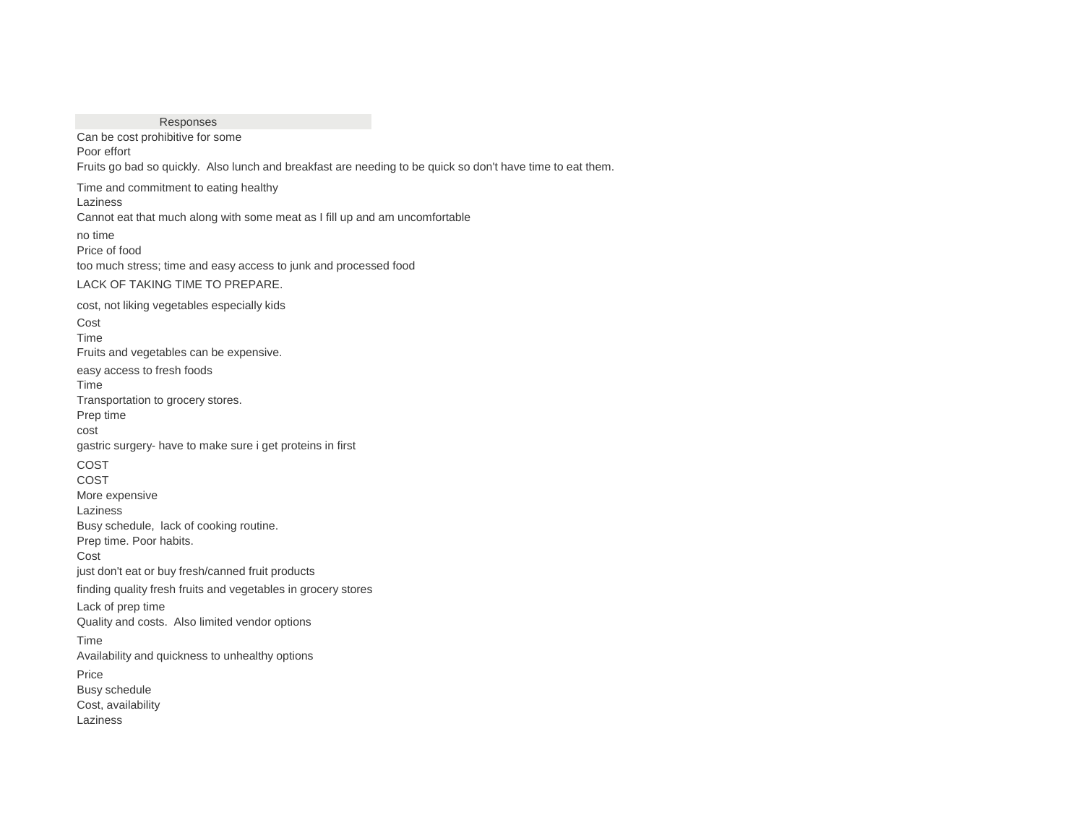Responses Price Busy schedule Cost, availability Laziness finding quality fresh fruits and vegetables in grocery stores Lack of prep time Quality and costs. Also limited vendor options Time Availability and quickness to unhealthy options Laziness Busy schedule, lack of cooking routine. Prep time. Poor habits. Cost just don't eat or buy fresh/canned fruit products cost gastric surgery- have to make sure i get proteins in first COST COST More expensive Fruits and vegetables can be expensive. easy access to fresh foods Time Transportation to grocery stores. Prep time too much stress; time and easy access to junk and processed food LACK OF TAKING TIME TO PREPARE. cost, not liking vegetables especially kids Cost Time Can be cost prohibitive for some Poor effort Fruits go bad so quickly. Also lunch and breakfast are needing to be quick so don't have time to eat them. Time and commitment to eating healthy Laziness Cannot eat that much along with some meat as I fill up and am uncomfortable no time Price of food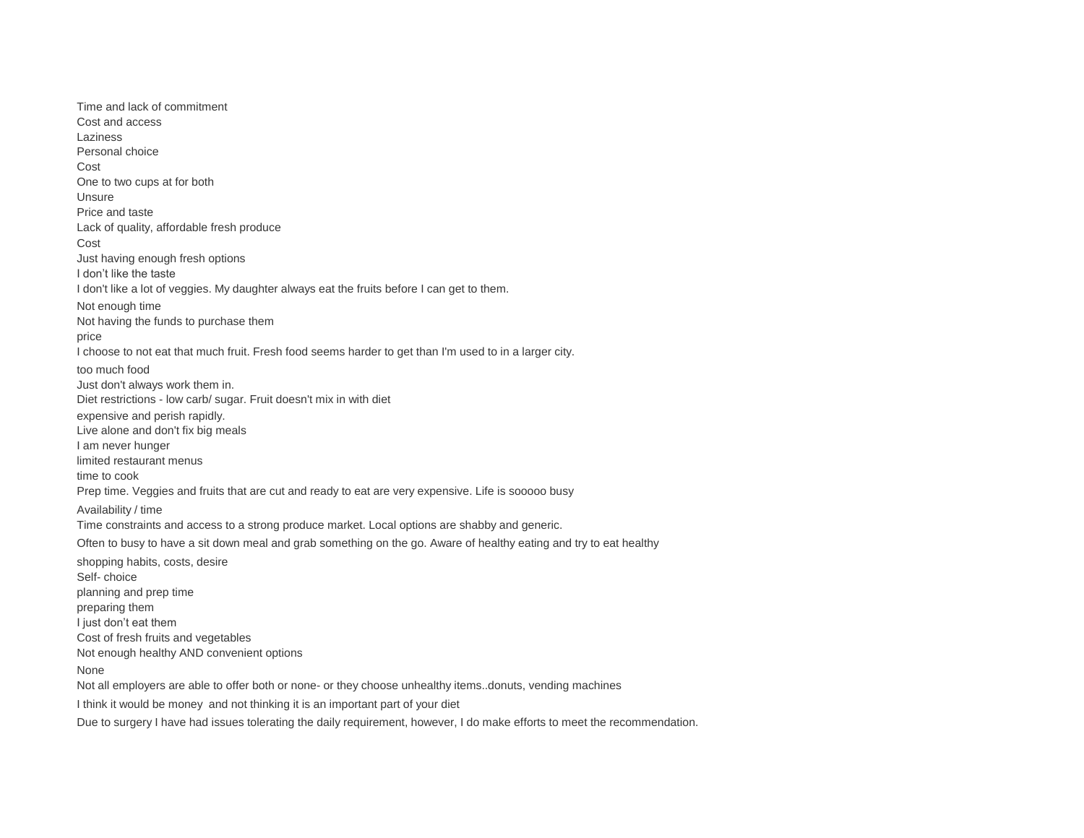None Not all employers are able to offer both or none- or they choose unhealthy items..donuts, vending machines I think it would be money and not thinking it is an important part of your diet Due to surgery I have had issues tolerating the daily requirement, however, I do make efforts to meet the recommendation. planning and prep time preparing them I just don't eat them Cost of fresh fruits and vegetables Not enough healthy AND convenient options Availability / time Time constraints and access to a strong produce market. Local options are shabby and generic. Often to busy to have a sit down meal and grab something on the go. Aware of healthy eating and try to eat healthy shopping habits, costs, desire Self- choice Live alone and don't fix big meals I am never hunger limited restaurant menus time to cook Prep time. Veggies and fruits that are cut and ready to eat are very expensive. Life is sooooo busy I choose to not eat that much fruit. Fresh food seems harder to get than I'm used to in a larger city. too much food Just don't always work them in. Diet restrictions - low carb/ sugar. Fruit doesn't mix in with diet expensive and perish rapidly. I don't like the taste I don't like a lot of veggies. My daughter always eat the fruits before I can get to them. Not enough time Not having the funds to purchase them price Unsure Price and taste Lack of quality, affordable fresh produce Cost Just having enough fresh options Cost and access Laziness Personal choice Cost One to two cups at for both Time and lack of commitment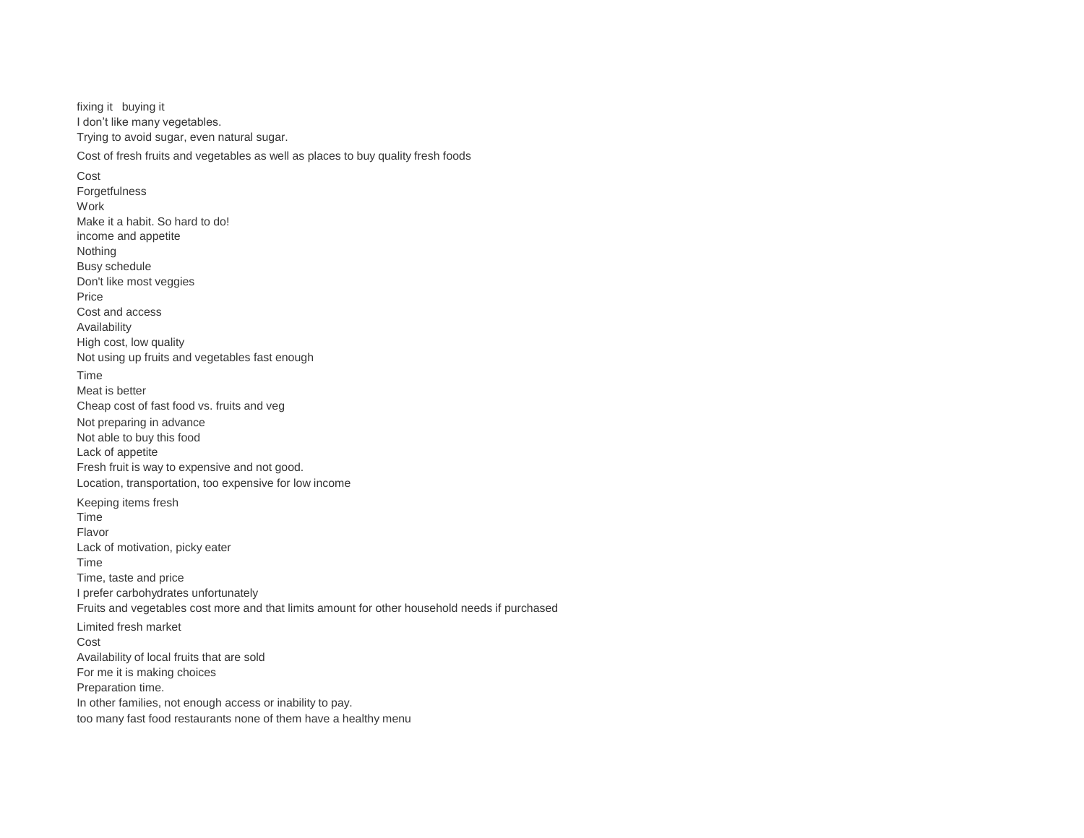I don't like many vegetables. Trying to avoid sugar, even natural sugar. fixing it buying it

Cost of fresh fruits and vegetables as well as places to buy quality fresh foods

For me it is making choices Preparation time. In other families, not enough access or inability to pay. too many fast food restaurants none of them have a healthy menu I prefer carbohydrates unfortunately Fruits and vegetables cost more and that limits amount for other household needs if purchased Limited fresh market Cost Availability of local fruits that are sold Time Flavor Lack of motivation, picky eater Time Time, taste and price Not able to buy this food Lack of appetite Fresh fruit is way to expensive and not good. Location, transportation, too expensive for low income Keeping items fresh Not using up fruits and vegetables fast enough Time Meat is better Cheap cost of fast food vs. fruits and veg Not preparing in advance Don't like most veggies Price Cost and access Availability High cost, low quality Work Make it a habit. So hard to do! income and appetite Nothing Busy schedule Cost **Forgetfulness**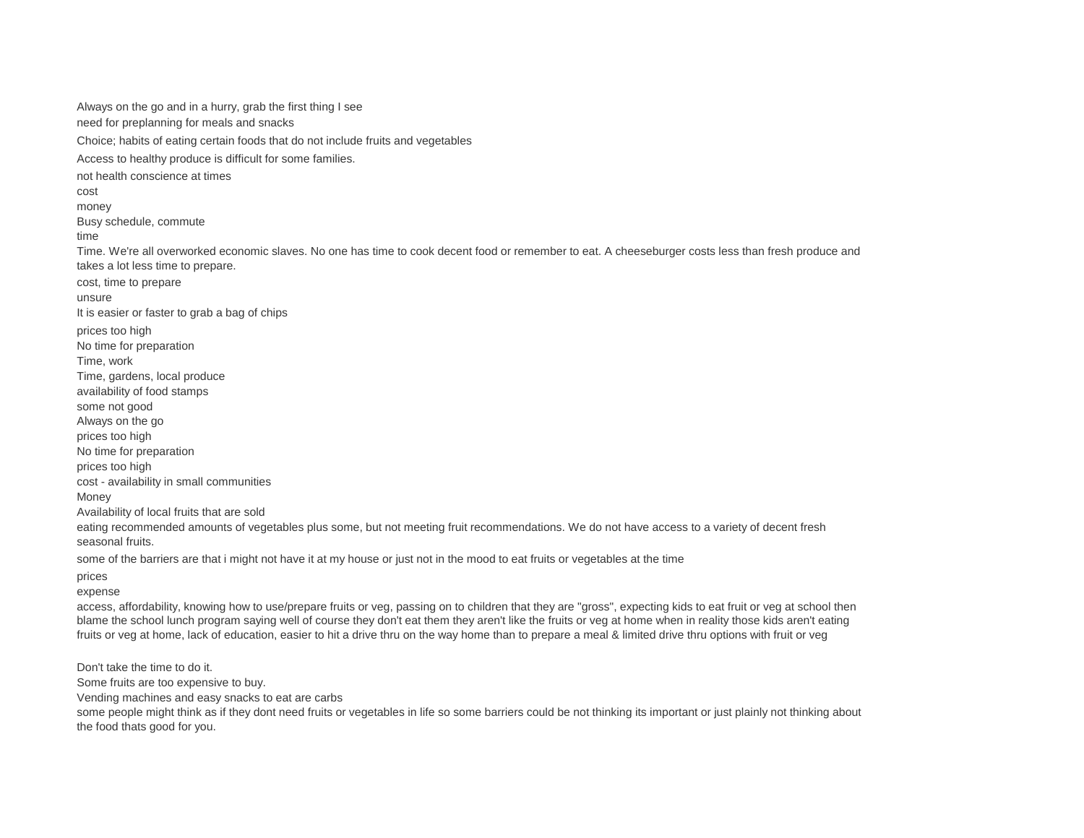eating recommended amounts of vegetables plus some, but not meeting fruit recommendations. We do not have access to a variety of decent fresh seasonal fruits. some of the barriers are that i might not have it at my house or just not in the mood to eat fruits or vegetables at the time prices expense No time for preparation prices too high cost - availability in small communities **Money** Availability of local fruits that are sold Time, gardens, local produce availability of food stamps some not good Always on the go prices too high unsure It is easier or faster to grab a bag of chips prices too high No time for preparation Time, work money Busy schedule, commute time Time. We're all overworked economic slaves. No one has time to cook decent food or remember to eat. A cheeseburger costs less than fresh produce and takes a lot less time to prepare. cost, time to prepare need for preplanning for meals and snacks Choice; habits of eating certain foods that do not include fruits and vegetables Access to healthy produce is difficult for some families. not health conscience at times cost Always on the go and in a hurry, grab the first thing I see

access, affordability, knowing how to use/prepare fruits or veg, passing on to children that they are "gross", expecting kids to eat fruit or veg at school then blame the school lunch program saying well of course they don't eat them they aren't like the fruits or veg at home when in reality those kids aren't eating fruits or veg at home, lack of education, easier to hit a drive thru on the way home than to prepare a meal & limited drive thru options with fruit or veg

Don't take the time to do it.

Some fruits are too expensive to buy.

Vending machines and easy snacks to eat are carbs

some people might think as if they dont need fruits or vegetables in life so some barriers could be not thinking its important or just plainly not thinking about the food thats good for you.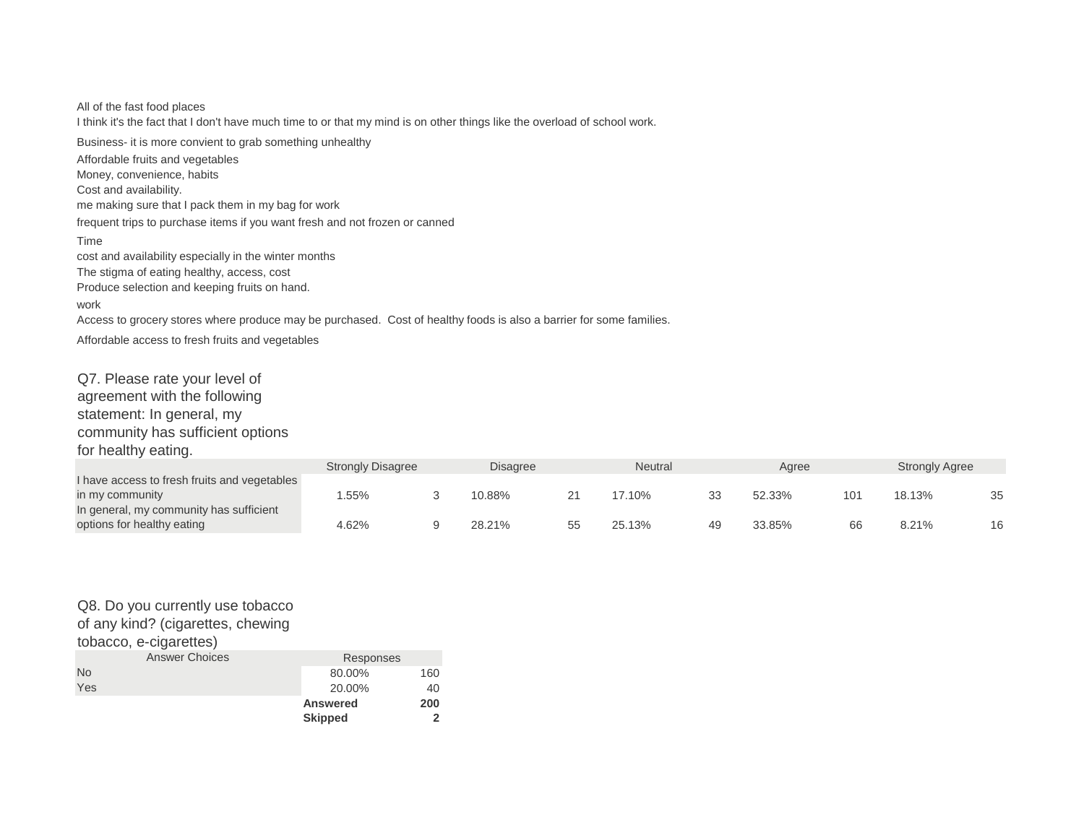Produce selection and keeping fruits on hand. work Access to grocery stores where produce may be purchased. Cost of healthy foods is also a barrier for some families. Affordable access to fresh fruits and vegetables me making sure that I pack them in my bag for work frequent trips to purchase items if you want fresh and not frozen or canned Time cost and availability especially in the winter months The stigma of eating healthy, access, cost I think it's the fact that I don't have much time to or that my mind is on other things like the overload of school work. Business- it is more convient to grab something unhealthy Affordable fruits and vegetables Money, convenience, habits Cost and availability. All of the fast food places

Q7. Please rate your level of agreement with the following statement: In general, my community has sufficient options for healthy eating.

|                                              | <b>Strongly Disagree</b> | Disagree |    | <b>Neutral</b> | Aaree  |                 | <b>Strongly Agree</b> |    |
|----------------------------------------------|--------------------------|----------|----|----------------|--------|-----------------|-----------------------|----|
| I have access to fresh fruits and vegetables |                          |          |    |                |        |                 |                       |    |
| in my community                              | .55%                     | 10.88%   |    | 17.10%         | 52.33% | 10 <sup>1</sup> | 18.13%                | 35 |
| In general, my community has sufficient      |                          |          |    |                |        |                 |                       |    |
| options for healthy eating                   | 4.62%                    | 28.21%   | 55 | 25.13%         | 33.85% | 66              | 8.21%                 | 16 |

#### Q8. Do you currently use tobacco of any kind? (cigarettes, chewing

tobacco, e-cigarettes)

|                       | <b>Skipped</b>  |     |  |  |  |
|-----------------------|-----------------|-----|--|--|--|
|                       | <b>Answered</b> | 200 |  |  |  |
| Yes                   | 20.00%          | 40  |  |  |  |
| <b>No</b>             | 80.00%          | 160 |  |  |  |
| <b>Answer Choices</b> | Responses       |     |  |  |  |
| wwayo, c-uyarcitics,  |                 |     |  |  |  |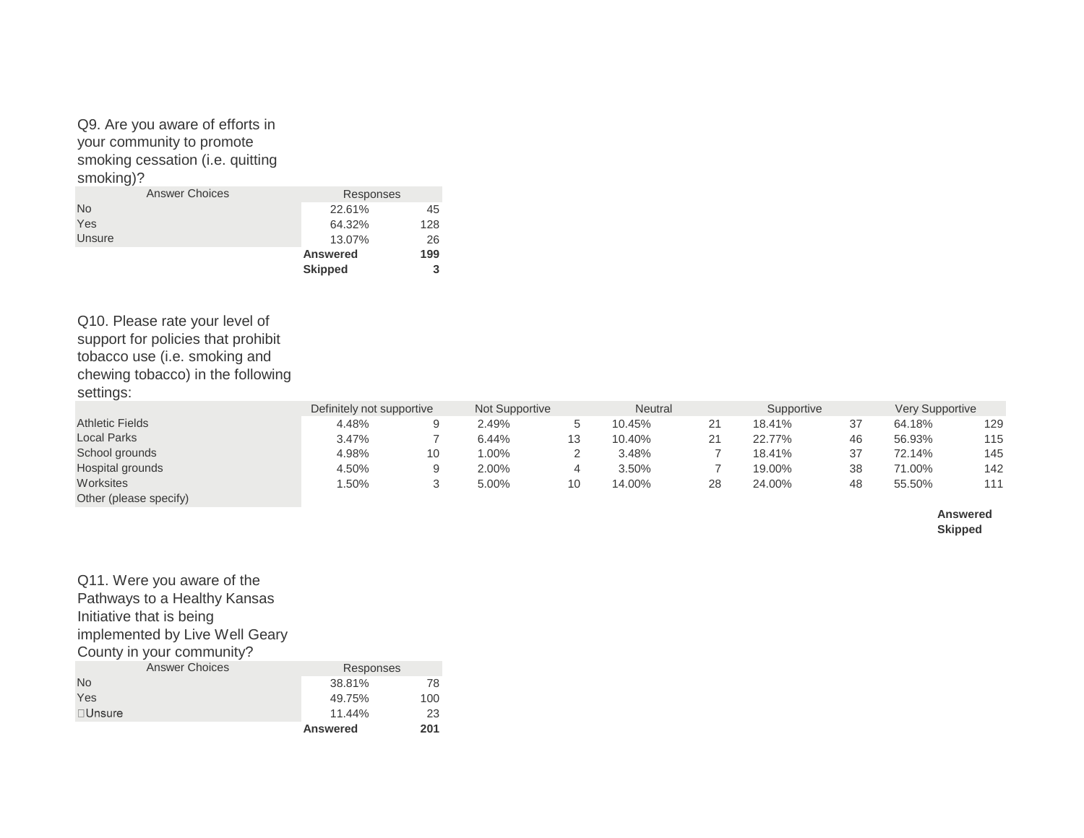Q9. Are you aware of efforts in your community to promote smoking cessation (i.e. quitting smoking)?

| <b>Answer Choices</b> | Responses       |     |
|-----------------------|-----------------|-----|
| <b>No</b>             | 22.61%          | 45  |
| Yes                   | 64.32%          | 128 |
| Unsure                | 13.07%          | 26  |
|                       | <b>Answered</b> | 199 |
|                       | <b>Skipped</b>  | 3   |

Q10. Please rate your level of support for policies that prohibit tobacco use (i.e. smoking and chewing tobacco) in the following settings:

Q11. Were you aware of the

|                        | Definitely not supportive | Not Supportive |    | <b>Neutral</b> |    | Supportive |    | <b>Very Supportive</b> |     |
|------------------------|---------------------------|----------------|----|----------------|----|------------|----|------------------------|-----|
| <b>Athletic Fields</b> | 4.48%                     | 2.49%          |    | 10.45%         | 21 | 18.41%     | 37 | 64.18%                 | 129 |
| <b>Local Parks</b>     | 3.47%                     | 6.44%          | 13 | 10.40%         | 21 | 22.77%     | 46 | 56.93%                 | 115 |
| School grounds         | 4.98%                     | $.00\%$        |    | 3.48%          |    | 18.41%     | 37 | 72.14%                 | 145 |
| Hospital grounds       | 4.50%                     | 2.00%          | 4  | 3.50%          |    | 19.00%     | 38 | 71.00%                 | 142 |
| Worksites              | 1.50%                     | 5.00%          | 10 | 14.00%         | 28 | 24.00%     | 48 | 55.50%                 | 111 |
| Other (please specify) |                           |                |    |                |    |            |    |                        |     |

**Answered Skipped**

| Pathways to a Healthy Kansas   |                 |     |
|--------------------------------|-----------------|-----|
| Initiative that is being       |                 |     |
| implemented by Live Well Geary |                 |     |
| County in your community?      |                 |     |
| <b>Answer Choices</b>          | Responses       |     |
| <b>No</b>                      | 38.81%          | 78  |
| Yes                            | 49.75%          | 100 |
| $\Box$ Unsure                  | 11.44%          | 23  |
|                                | <b>Answered</b> | 201 |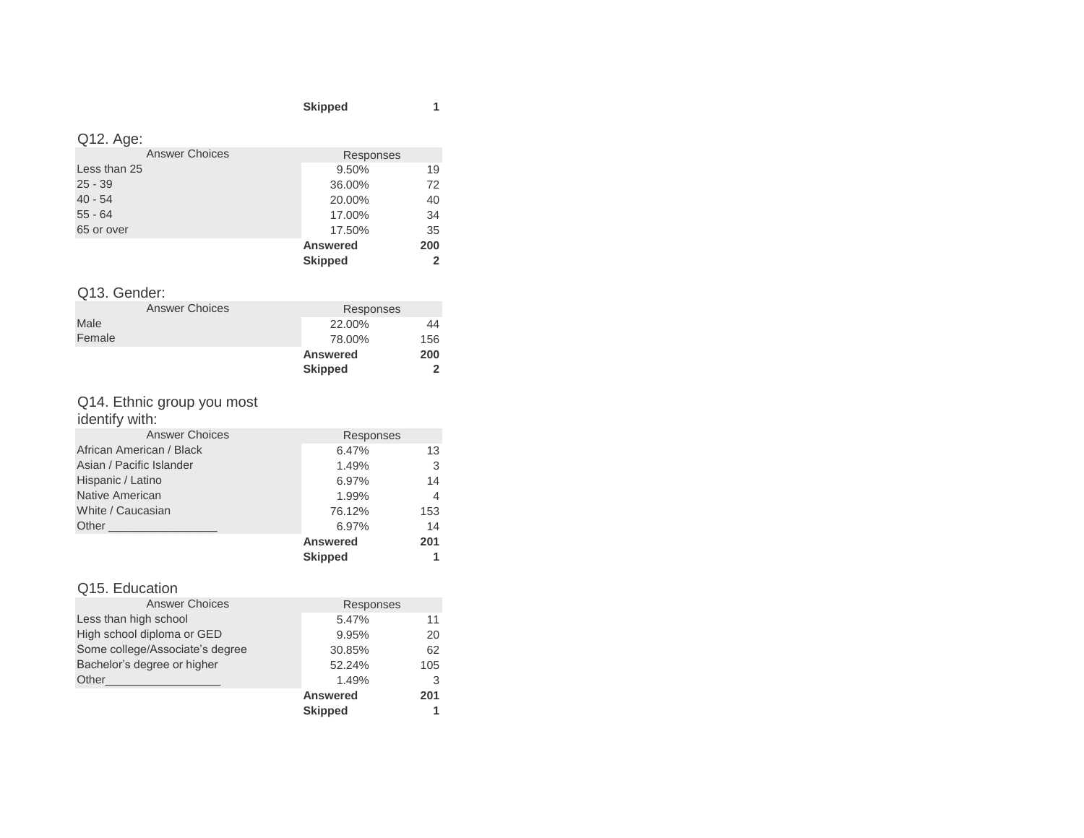#### **Skipped 1**

## Q12. Age:

|                       | <b>Skipped</b>  | $\overline{2}$ |
|-----------------------|-----------------|----------------|
|                       | <b>Answered</b> | 200            |
| 65 or over            | 17.50%          | 35             |
| $55 - 64$             | 17.00%          | 34             |
| $40 - 54$             | 20.00%          | 40             |
| $25 - 39$             | 36.00%          | 72             |
| Less than 25          | 9.50%           | 19             |
| <b>Answer Choices</b> | Responses       |                |
|                       |                 |                |

## Q13. Gender:

|        |                       | <b>Skipped</b>  | 2   |
|--------|-----------------------|-----------------|-----|
|        |                       | <b>Answered</b> | 200 |
| Female |                       | 78.00%          | 156 |
| Male   |                       | 22.00%          | 44  |
|        | <b>Answer Choices</b> | Responses       |     |
|        |                       |                 |     |

# Q14. Ethnic group you most

identify with:

| African American / Black<br>Asian / Pacific Islander | 6.47%<br>1.49%  | 13<br>3        |
|------------------------------------------------------|-----------------|----------------|
| Hispanic / Latino                                    | 6.97%           | 14             |
| Native American                                      | 1.99%           | $\overline{4}$ |
| White / Caucasian                                    | 76.12%          | 153            |
| Other <b>Community</b> Charles Community             | 6.97%           | 14             |
|                                                      | <b>Answered</b> | 201            |
|                                                      | <b>Skipped</b>  | 1              |

## Q15. Education

| <b>Answer Choices</b>           | Responses       |     |
|---------------------------------|-----------------|-----|
| Less than high school           | 5.47%           | 11  |
| High school diploma or GED      | 9.95%           | 20  |
| Some college/Associate's degree | 30.85%          | 62  |
| Bachelor's degree or higher     | 52.24%          | 105 |
| Other                           | 1.49%           | 3   |
|                                 | <b>Answered</b> | 201 |
|                                 | <b>Skipped</b>  |     |